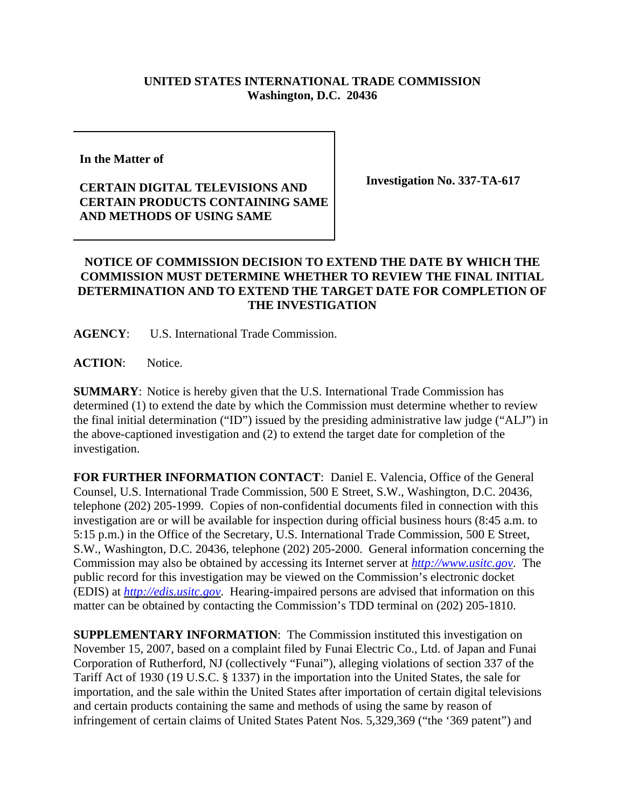## **UNITED STATES INTERNATIONAL TRADE COMMISSION Washington, D.C. 20436**

**In the Matter of** 

## **CERTAIN DIGITAL TELEVISIONS AND CERTAIN PRODUCTS CONTAINING SAME AND METHODS OF USING SAME**

**Investigation No. 337-TA-617**

## **NOTICE OF COMMISSION DECISION TO EXTEND THE DATE BY WHICH THE COMMISSION MUST DETERMINE WHETHER TO REVIEW THE FINAL INITIAL DETERMINATION AND TO EXTEND THE TARGET DATE FOR COMPLETION OF THE INVESTIGATION**

**AGENCY**: U.S. International Trade Commission.

**ACTION**: Notice.

**SUMMARY**: Notice is hereby given that the U.S. International Trade Commission has determined (1) to extend the date by which the Commission must determine whether to review the final initial determination ("ID") issued by the presiding administrative law judge ("ALJ") in the above-captioned investigation and (2) to extend the target date for completion of the investigation.

**FOR FURTHER INFORMATION CONTACT**: Daniel E. Valencia, Office of the General Counsel, U.S. International Trade Commission, 500 E Street, S.W., Washington, D.C. 20436, telephone (202) 205-1999. Copies of non-confidential documents filed in connection with this investigation are or will be available for inspection during official business hours (8:45 a.m. to 5:15 p.m.) in the Office of the Secretary, U.S. International Trade Commission, 500 E Street, S.W., Washington, D.C. 20436, telephone (202) 205-2000. General information concerning the Commission may also be obtained by accessing its Internet server at *http://www.usitc.gov*. The public record for this investigation may be viewed on the Commission's electronic docket (EDIS) at *http://edis.usitc.gov*. Hearing-impaired persons are advised that information on this matter can be obtained by contacting the Commission's TDD terminal on (202) 205-1810.

**SUPPLEMENTARY INFORMATION**: The Commission instituted this investigation on November 15, 2007, based on a complaint filed by Funai Electric Co., Ltd. of Japan and Funai Corporation of Rutherford, NJ (collectively "Funai"), alleging violations of section 337 of the Tariff Act of 1930 (19 U.S.C. § 1337) in the importation into the United States, the sale for importation, and the sale within the United States after importation of certain digital televisions and certain products containing the same and methods of using the same by reason of infringement of certain claims of United States Patent Nos. 5,329,369 ("the '369 patent") and